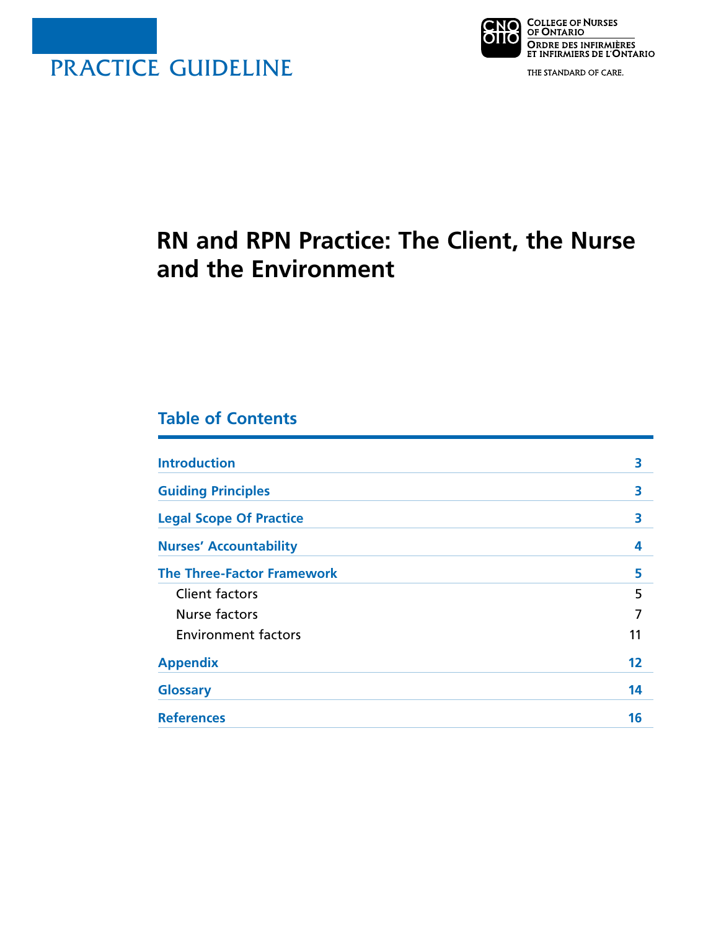



THE STANDARD OF CARE.

# **RN and RPN Practice: The Client, the Nurse and the Environment**

# **Table of Contents**

| <b>Introduction</b>               | 3  |
|-----------------------------------|----|
| <b>Guiding Principles</b>         | 3  |
| <b>Legal Scope Of Practice</b>    | 3  |
| <b>Nurses' Accountability</b>     | 4  |
| <b>The Three-Factor Framework</b> | 5  |
| <b>Client factors</b>             | 5  |
| Nurse factors                     | 7  |
| <b>Environment factors</b>        | 11 |
| <b>Appendix</b>                   | 12 |
| Glossary                          | 14 |
| <b>References</b>                 | 16 |
|                                   |    |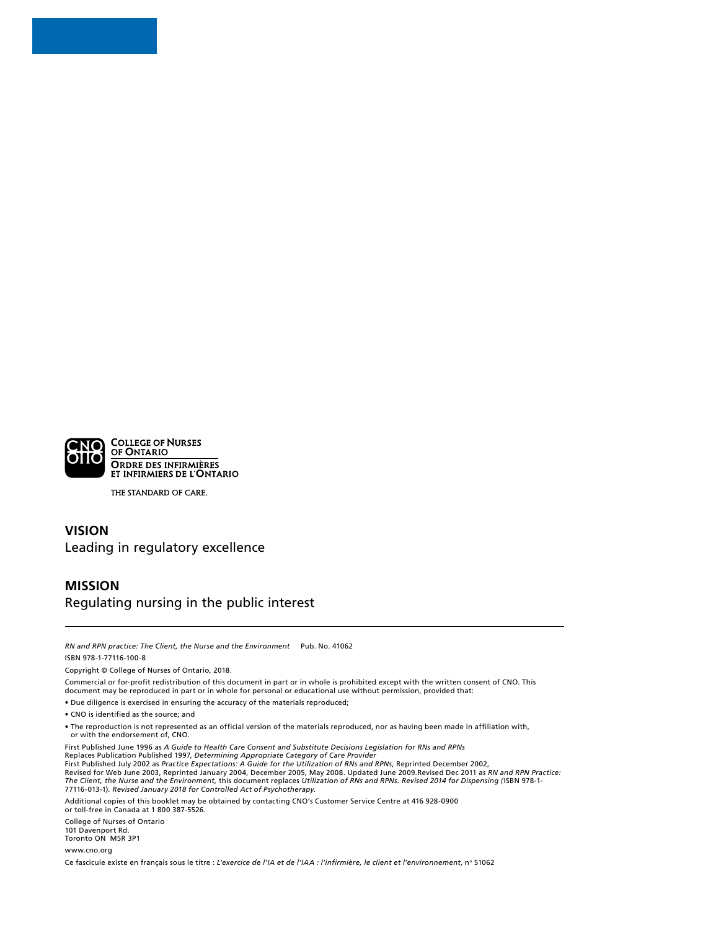

THE STANDARD OF CARE.

#### **VISION** Leading in regulatory excellence

#### **MISSION** Regulating nursing in the public interest

*RN and RPN practice: The Client, the Nurse and the Environment* Pub. No. 41062 ISBN 978-1-77116-100-8

Copyright © College of Nurses of Ontario, 2018.

Commercial or for-profit redistribution of this document in part or in whole is prohibited except with the written consent of CNO. This document may be reproduced in part or in whole for personal or educational use without permission, provided that:

• Due diligence is exercised in ensuring the accuracy of the materials reproduced;

• CNO is identified as the source; and

• The reproduction is not represented as an official version of the materials reproduced, nor as having been made in affiliation with, or with the endorsement of, CNO.

First Published June 1996 as *A Guide to Health Care Consent and Substitute Decisions Legislation for RNs and RPNs* Replaces Publication Published 1997, *Determining Appropriate Category of Care Provider* First Published July 2002 as *Practice Expectations: A Guide for the Utilization of RNs and RPNs*, Reprinted December 2002,<br>Revised for Web June 2003, Reprinted January 2004, December 2005, May 2008. Updated June 2009.Revi *The Client, the Nurse and the Environment,* this document replaces *Utilization of RNs and RPNs. Revised 2014 for Dispensing (*ISBN 978-1- 77116-013-1)*. Revised January 2018 for Controlled Act of Psychotherapy.*

Additional copies of this booklet may be obtained by contacting CNO's Customer Service Centre at 416 928-0900 or toll-free in Canada at 1 800 387-5526.

College of Nurses of Ontario 101 Davenport Rd. Toronto ON M5R 3P1

www.cno.org

Ce fascicule existe en français sous le titre : L'exercice de l'IA et de l'IAA : l'infirmière, le client et l'environnement, n° 51062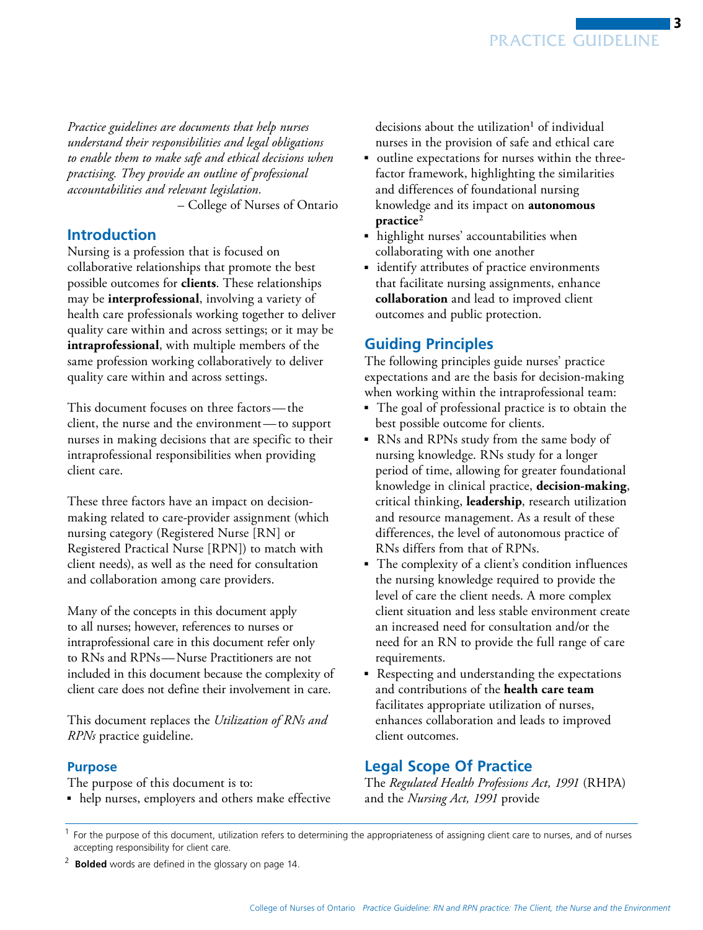*Practice guidelines are documents that help nurses understand their responsibilities and legal obligations to enable them to make safe and ethical decisions when practising. They provide an outline of professional accountabilities and relevant legislation.* 

– College of Nurses of Ontario

## **Introduction**

Nursing is a profession that is focused on collaborative relationships that promote the best possible outcomes for **clients**. These relationships may be **interprofessional**, involving a variety of health care professionals working together to deliver quality care within and across settings; or it may be **intraprofessional**, with multiple members of the same profession working collaboratively to deliver quality care within and across settings.

This document focuses on three factors—the client, the nurse and the environment—to support nurses in making decisions that are specific to their intraprofessional responsibilities when providing client care.

These three factors have an impact on decisionmaking related to care-provider assignment (which nursing category (Registered Nurse [RN] or Registered Practical Nurse [RPN]) to match with client needs), as well as the need for consultation and collaboration among care providers.

Many of the concepts in this document apply to all nurses; however, references to nurses or intraprofessional care in this document refer only to RNs and RPNs—Nurse Practitioners are not included in this document because the complexity of client care does not define their involvement in care.

This document replaces the *Utilization of RNs and RPNs* practice guideline.

#### **Purpose**

The purpose of this document is to:

■ help nurses, employers and others make effective

decisions about the utilization<sup>1</sup> of individual nurses in the provision of safe and ethical care

- outline expectations for nurses within the threefactor framework, highlighting the similarities and differences of foundational nursing knowledge and its impact on **autonomous practice**2
- highlight nurses' accountabilities when collaborating with one another
- identify attributes of practice environments that facilitate nursing assignments, enhance **collaboration** and lead to improved client outcomes and public protection.

## **Guiding Principles**

The following principles guide nurses' practice expectations and are the basis for decision-making when working within the intraprofessional team:

- The goal of professional practice is to obtain the best possible outcome for clients.
- RNs and RPNs study from the same body of nursing knowledge. RNs study for a longer period of time, allowing for greater foundational knowledge in clinical practice, **decision-making**, critical thinking, **leadership**, research utilization and resource management. As a result of these differences, the level of autonomous practice of RNs differs from that of RPNs.
- The complexity of a client's condition influences the nursing knowledge required to provide the level of care the client needs. A more complex client situation and less stable environment create an increased need for consultation and/or the need for an RN to provide the full range of care requirements.
- Respecting and understanding the expectations and contributions of the **health care team** facilitates appropriate utilization of nurses, enhances collaboration and leads to improved client outcomes.

# **Legal Scope Of Practice**

The *Regulated Health Professions Act, 1991* (RHPA) and the *Nursing Act, 1991* provide

 $<sup>1</sup>$  For the purpose of this document, utilization refers to determining the appropriateness of assigning client care to nurses, and of nurses</sup> accepting responsibility for client care.

<sup>2</sup> **Bolded** words are defined in the glossary on page 14.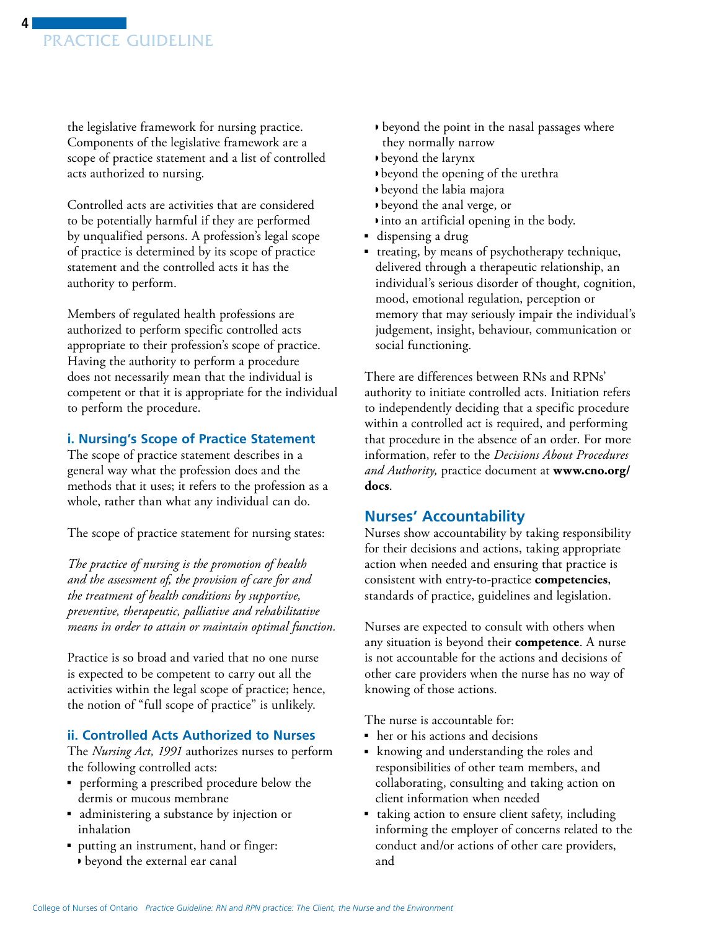the legislative framework for nursing practice. Components of the legislative framework are a scope of practice statement and a list of controlled acts authorized to nursing.

Controlled acts are activities that are considered to be potentially harmful if they are performed by unqualified persons. A profession's legal scope of practice is determined by its scope of practice statement and the controlled acts it has the authority to perform.

Members of regulated health professions are authorized to perform specific controlled acts appropriate to their profession's scope of practice. Having the authority to perform a procedure does not necessarily mean that the individual is competent or that it is appropriate for the individual to perform the procedure.

#### **i. Nursing's Scope of Practice Statement**

The scope of practice statement describes in a general way what the profession does and the methods that it uses; it refers to the profession as a whole, rather than what any individual can do.

The scope of practice statement for nursing states:

*The practice of nursing is the promotion of health and the assessment of, the provision of care for and the treatment of health conditions by supportive, preventive, therapeutic, palliative and rehabilitative means in order to attain or maintain optimal function.* 

Practice is so broad and varied that no one nurse is expected to be competent to carry out all the activities within the legal scope of practice; hence, the notion of "full scope of practice" is unlikely.

#### **ii. Controlled Acts Authorized to Nurses**

The *Nursing Act, 1991* authorizes nurses to perform the following controlled acts:

- performing a prescribed procedure below the dermis or mucous membrane
- administering a substance by injection or inhalation
- putting an instrument, hand or finger: ◗ beyond the external ear canal
- ◗ beyond the point in the nasal passages where they normally narrow
- ◗ beyond the larynx
- ◗ beyond the opening of the urethra
- ◗ beyond the labia majora
- ◗ beyond the anal verge, or
- ◗ into an artificial opening in the body.
- ■ dispensing a drug
- treating, by means of psychotherapy technique, delivered through a therapeutic relationship, an individual's serious disorder of thought, cognition, mood, emotional regulation, perception or memory that may seriously impair the individual's judgement, insight, behaviour, communication or social functioning.

There are differences between RNs and RPNs' authority to initiate controlled acts. Initiation refers to independently deciding that a specific procedure within a controlled act is required, and performing that procedure in the absence of an order. For more information, refer to the *Decisions About Procedures and Authority,* practice document at **www.cno.org/ docs**.

#### **Nurses' Accountability**

Nurses show accountability by taking responsibility for their decisions and actions, taking appropriate action when needed and ensuring that practice is consistent with entry-to-practice **competencies**, standards of practice, guidelines and legislation.

Nurses are expected to consult with others when any situation is beyond their **competence**. A nurse is not accountable for the actions and decisions of other care providers when the nurse has no way of knowing of those actions.

The nurse is accountable for:

- her or his actions and decisions
- knowing and understanding the roles and responsibilities of other team members, and collaborating, consulting and taking action on client information when needed
- ■ taking action to ensure client safety, including informing the employer of concerns related to the conduct and/or actions of other care providers, and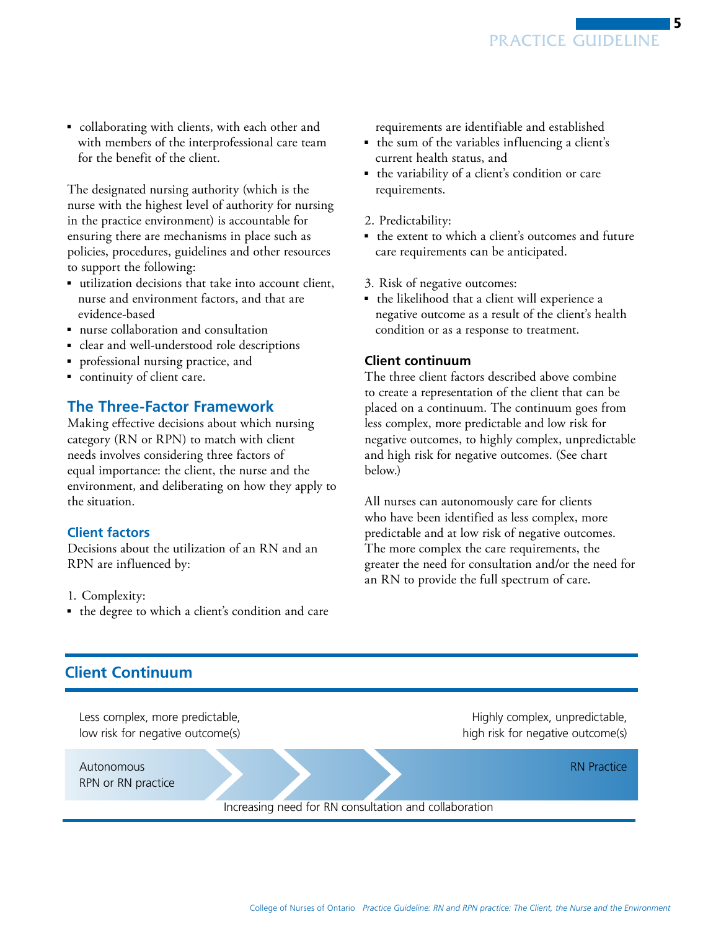■ collaborating with clients, with each other and with members of the interprofessional care team for the benefit of the client.

The designated nursing authority (which is the nurse with the highest level of authority for nursing in the practice environment) is accountable for ensuring there are mechanisms in place such as policies, procedures, guidelines and other resources to support the following:

- utilization decisions that take into account client, nurse and environment factors, and that are evidence-based
- nurse collaboration and consultation
- clear and well-understood role descriptions
- ■ professional nursing practice, and
- continuity of client care.

#### **The Three-Factor Framework**

Making effective decisions about which nursing category (RN or RPN) to match with client needs involves considering three factors of equal importance: the client, the nurse and the environment, and deliberating on how they apply to the situation.

#### **Client factors**

Decisions about the utilization of an RN and an RPN are influenced by:

- 1. Complexity:
- the degree to which a client's condition and care

requirements are identifiable and established

- the sum of the variables influencing a client's current health status, and
- the variability of a client's condition or care requirements.
- 2. Predictability:
- the extent to which a client's outcomes and future care requirements can be anticipated.
- 3. Risk of negative outcomes:
- the likelihood that a client will experience a negative outcome as a result of the client's health condition or as a response to treatment.

#### **Client continuum**

The three client factors described above combine to create a representation of the client that can be placed on a continuum. The continuum goes from less complex, more predictable and low risk for negative outcomes, to highly complex, unpredictable and high risk for negative outcomes. (See chart below.)

All nurses can autonomously care for clients who have been identified as less complex, more predictable and at low risk of negative outcomes. The more complex the care requirements, the greater the need for consultation and/or the need for an RN to provide the full spectrum of care.

# **Client Continuum** Less complex, more predictable, the state of the Highly complex, unpredictable, low risk for negative outcome(s) high risk for negative outcome(s) high risk for negative outcome(s) Autonomous RN Practice RPN or RN practice Increasing need for RN consultation and collaboration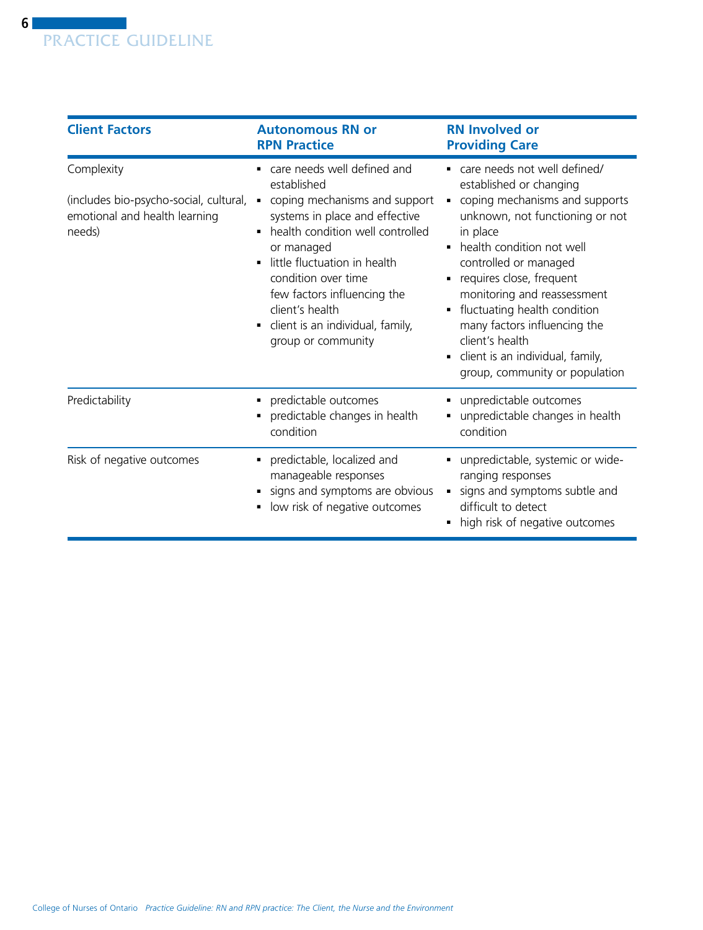PRACTICE GUIDELINE

| <b>Client Factors</b>                                                                           | <b>Autonomous RN or</b><br><b>RPN Practice</b>                                                                                                                                                                                                                                                                                                     | <b>RN</b> Involved or<br><b>Providing Care</b>                                                                                                                                                                                                                                                                                                                                                                             |
|-------------------------------------------------------------------------------------------------|----------------------------------------------------------------------------------------------------------------------------------------------------------------------------------------------------------------------------------------------------------------------------------------------------------------------------------------------------|----------------------------------------------------------------------------------------------------------------------------------------------------------------------------------------------------------------------------------------------------------------------------------------------------------------------------------------------------------------------------------------------------------------------------|
| Complexity<br>(includes bio-psycho-social, cultural,<br>emotional and health learning<br>needs) | care needs well defined and<br>established<br>coping mechanisms and support<br>٠<br>systems in place and effective<br>health condition well controlled<br>or managed<br>little fluctuation in health<br>٠<br>condition over time<br>few factors influencing the<br>client's health<br>client is an individual, family,<br>п,<br>group or community | care needs not well defined/<br>established or changing<br>coping mechanisms and supports<br>п.<br>unknown, not functioning or not<br>in place<br>health condition not well<br>controlled or managed<br>requires close, frequent<br>monitoring and reassessment<br>• fluctuating health condition<br>many factors influencing the<br>client's health<br>client is an individual, family,<br>group, community or population |
| Predictability                                                                                  | predictable outcomes<br>٠<br>predictable changes in health<br>condition                                                                                                                                                                                                                                                                            | unpredictable outcomes<br>unpredictable changes in health<br>condition                                                                                                                                                                                                                                                                                                                                                     |
| Risk of negative outcomes                                                                       | predictable, localized and<br>٠<br>manageable responses<br>signs and symptoms are obvious<br>low risk of negative outcomes                                                                                                                                                                                                                         | unpredictable, systemic or wide-<br>ranging responses<br>signs and symptoms subtle and<br>$\blacksquare$<br>difficult to detect<br>high risk of negative outcomes                                                                                                                                                                                                                                                          |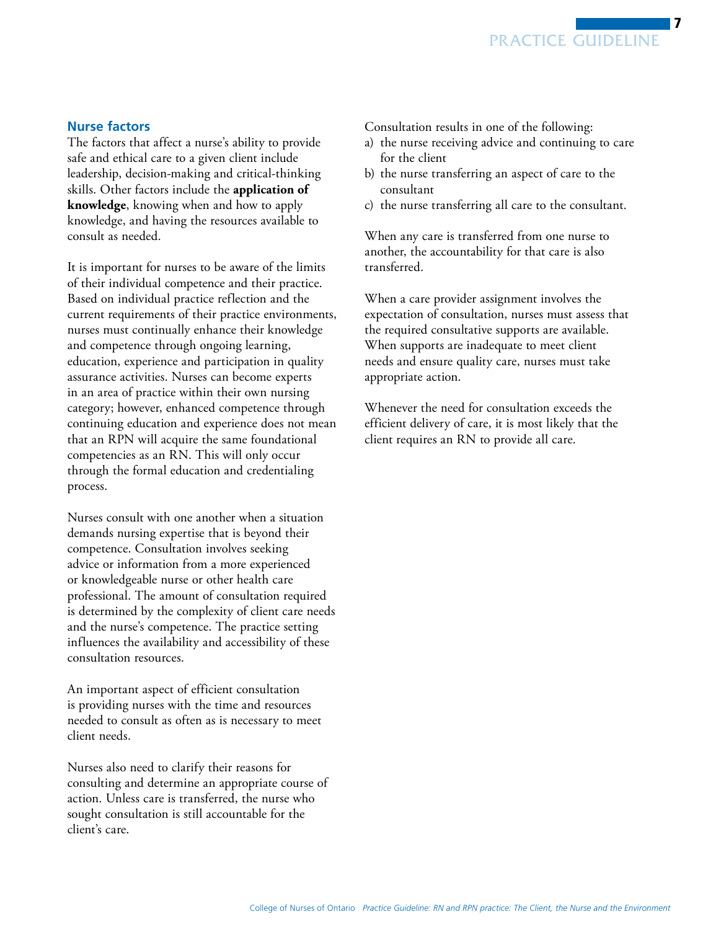#### **Nurse factors**

The factors that affect a nurse's ability to provide safe and ethical care to a given client include leadership, decision-making and critical-thinking skills. Other factors include the **application of knowledge**, knowing when and how to apply knowledge, and having the resources available to consult as needed.

It is important for nurses to be aware of the limits of their individual competence and their practice. Based on individual practice reflection and the current requirements of their practice environments, nurses must continually enhance their knowledge and competence through ongoing learning, education, experience and participation in quality assurance activities. Nurses can become experts in an area of practice within their own nursing category; however, enhanced competence through continuing education and experience does not mean that an RPN will acquire the same foundational competencies as an RN. This will only occur through the formal education and credentialing process.

Nurses consult with one another when a situation demands nursing expertise that is beyond their competence. Consultation involves seeking advice or information from a more experienced or knowledgeable nurse or other health care professional. The amount of consultation required is determined by the complexity of client care needs and the nurse's competence. The practice setting influences the availability and accessibility of these consultation resources.

An important aspect of efficient consultation is providing nurses with the time and resources needed to consult as often as is necessary to meet client needs.

Nurses also need to clarify their reasons for consulting and determine an appropriate course of action. Unless care is transferred, the nurse who sought consultation is still accountable for the client's care.

Consultation results in one of the following:

- a) the nurse receiving advice and continuing to care for the client
- b) the nurse transferring an aspect of care to the consultant
- c) the nurse transferring all care to the consultant.

When any care is transferred from one nurse to another, the accountability for that care is also transferred.

When a care provider assignment involves the expectation of consultation, nurses must assess that the required consultative supports are available. When supports are inadequate to meet client needs and ensure quality care, nurses must take appropriate action.

Whenever the need for consultation exceeds the efficient delivery of care, it is most likely that the client requires an RN to provide all care.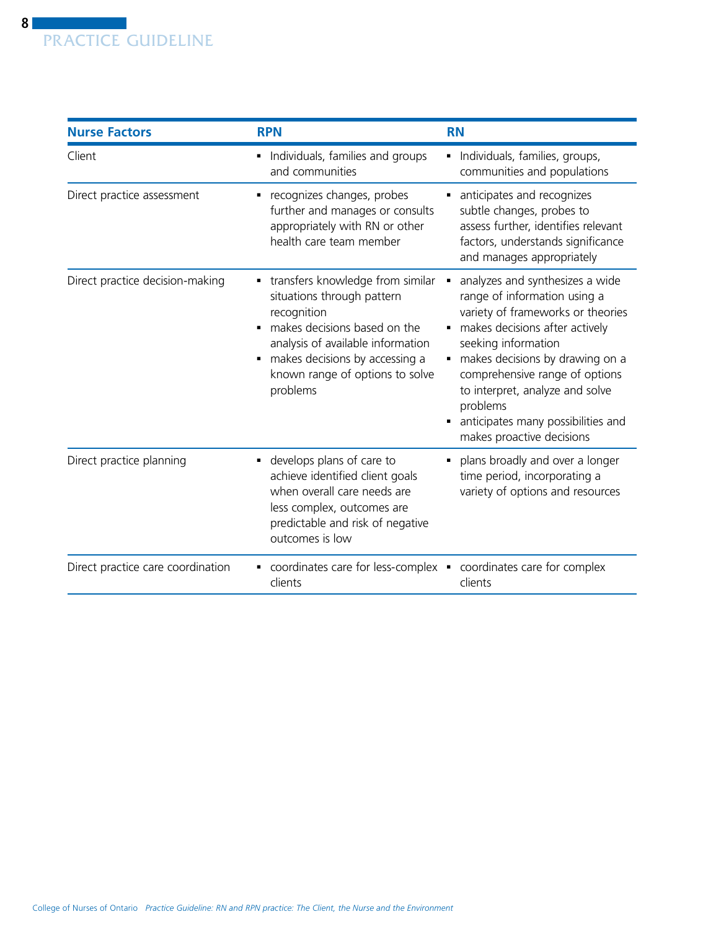| <b>Nurse Factors</b>              | <b>RPN</b>                                                                                                                                                                                                                               | <b>RN</b>                                                                                                                                                                                                                                                                                                                                                |
|-----------------------------------|------------------------------------------------------------------------------------------------------------------------------------------------------------------------------------------------------------------------------------------|----------------------------------------------------------------------------------------------------------------------------------------------------------------------------------------------------------------------------------------------------------------------------------------------------------------------------------------------------------|
| Client                            | Individuals, families and groups<br>п.<br>and communities                                                                                                                                                                                | · Individuals, families, groups,<br>communities and populations                                                                                                                                                                                                                                                                                          |
| Direct practice assessment        | recognizes changes, probes<br>п,<br>further and manages or consults<br>appropriately with RN or other<br>health care team member                                                                                                         | anticipates and recognizes<br>subtle changes, probes to<br>assess further, identifies relevant<br>factors, understands significance<br>and manages appropriately                                                                                                                                                                                         |
| Direct practice decision-making   | transfers knowledge from similar<br>situations through pattern<br>recognition<br>makes decisions based on the<br>analysis of available information<br>makes decisions by accessing a<br>٠<br>known range of options to solve<br>problems | analyzes and synthesizes a wide<br>range of information using a<br>variety of frameworks or theories<br>• makes decisions after actively<br>seeking information<br>• makes decisions by drawing on a<br>comprehensive range of options<br>to interpret, analyze and solve<br>problems<br>anticipates many possibilities and<br>makes proactive decisions |
| Direct practice planning          | develops plans of care to<br>٠<br>achieve identified client goals<br>when overall care needs are<br>less complex, outcomes are<br>predictable and risk of negative<br>outcomes is low                                                    | plans broadly and over a longer<br>time period, incorporating a<br>variety of options and resources                                                                                                                                                                                                                                                      |
| Direct practice care coordination | coordinates care for less-complex · coordinates care for complex<br>٠<br>clients                                                                                                                                                         | clients                                                                                                                                                                                                                                                                                                                                                  |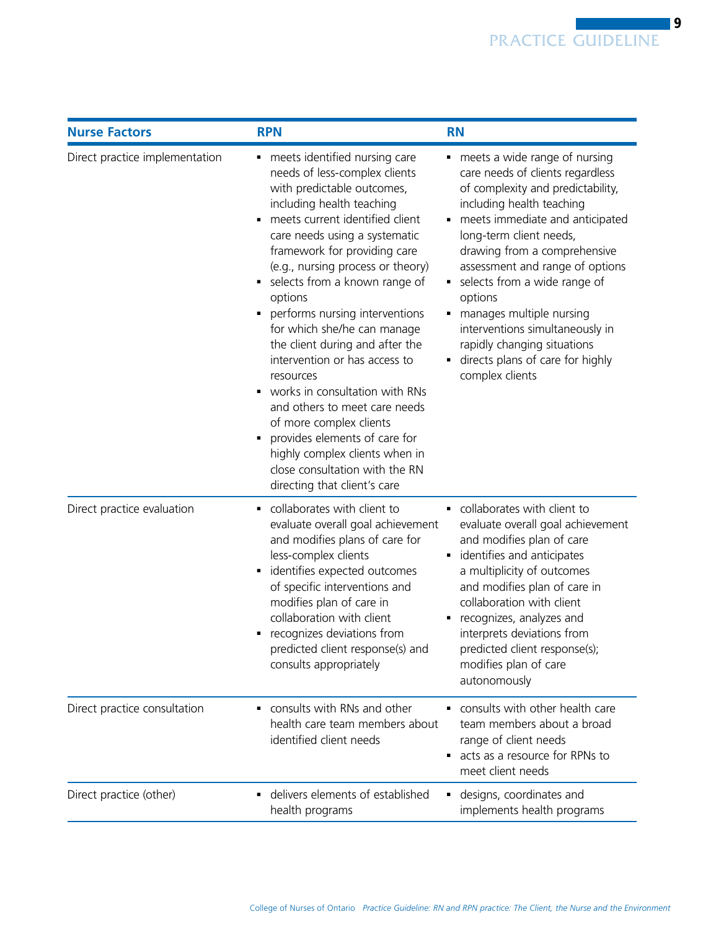

| <b>Nurse Factors</b>           | <b>RPN</b>                                                                                                                                                                                                                                                                                                                                                                                                                                                                                                                                                                                                                                                                                                              | <b>RN</b>                                                                                                                                                                                                                                                                                                                                                                                                                                                                   |
|--------------------------------|-------------------------------------------------------------------------------------------------------------------------------------------------------------------------------------------------------------------------------------------------------------------------------------------------------------------------------------------------------------------------------------------------------------------------------------------------------------------------------------------------------------------------------------------------------------------------------------------------------------------------------------------------------------------------------------------------------------------------|-----------------------------------------------------------------------------------------------------------------------------------------------------------------------------------------------------------------------------------------------------------------------------------------------------------------------------------------------------------------------------------------------------------------------------------------------------------------------------|
| Direct practice implementation | meets identified nursing care<br>$\blacksquare$<br>needs of less-complex clients<br>with predictable outcomes,<br>including health teaching<br>meets current identified client<br>care needs using a systematic<br>framework for providing care<br>(e.g., nursing process or theory)<br>• selects from a known range of<br>options<br>performs nursing interventions<br>for which she/he can manage<br>the client during and after the<br>intervention or has access to<br>resources<br>works in consultation with RNs<br>and others to meet care needs<br>of more complex clients<br>provides elements of care for<br>highly complex clients when in<br>close consultation with the RN<br>directing that client's care | - meets a wide range of nursing<br>care needs of clients regardless<br>of complexity and predictability,<br>including health teaching<br>meets immediate and anticipated<br>long-term client needs,<br>drawing from a comprehensive<br>assessment and range of options<br>selects from a wide range of<br>options<br>manages multiple nursing<br>٠<br>interventions simultaneously in<br>rapidly changing situations<br>directs plans of care for highly<br>complex clients |
| Direct practice evaluation     | collaborates with client to<br>evaluate overall goal achievement<br>and modifies plans of care for<br>less-complex clients<br>identifies expected outcomes<br>٠<br>of specific interventions and<br>modifies plan of care in<br>collaboration with client<br>recognizes deviations from<br>predicted client response(s) and<br>consults appropriately                                                                                                                                                                                                                                                                                                                                                                   | collaborates with client to<br>evaluate overall goal achievement<br>and modifies plan of care<br>identifies and anticipates<br>٠<br>a multiplicity of outcomes<br>and modifies plan of care in<br>collaboration with client<br>recognizes, analyzes and<br>interprets deviations from<br>predicted client response(s);<br>modifies plan of care<br>autonomously                                                                                                             |
| Direct practice consultation   | • consults with RNs and other<br>health care team members about<br>identified client needs                                                                                                                                                                                                                                                                                                                                                                                                                                                                                                                                                                                                                              | consults with other health care<br>team members about a broad<br>range of client needs<br>acts as a resource for RPNs to<br>meet client needs                                                                                                                                                                                                                                                                                                                               |
| Direct practice (other)        | delivers elements of established<br>health programs                                                                                                                                                                                                                                                                                                                                                                                                                                                                                                                                                                                                                                                                     | designs, coordinates and<br>implements health programs                                                                                                                                                                                                                                                                                                                                                                                                                      |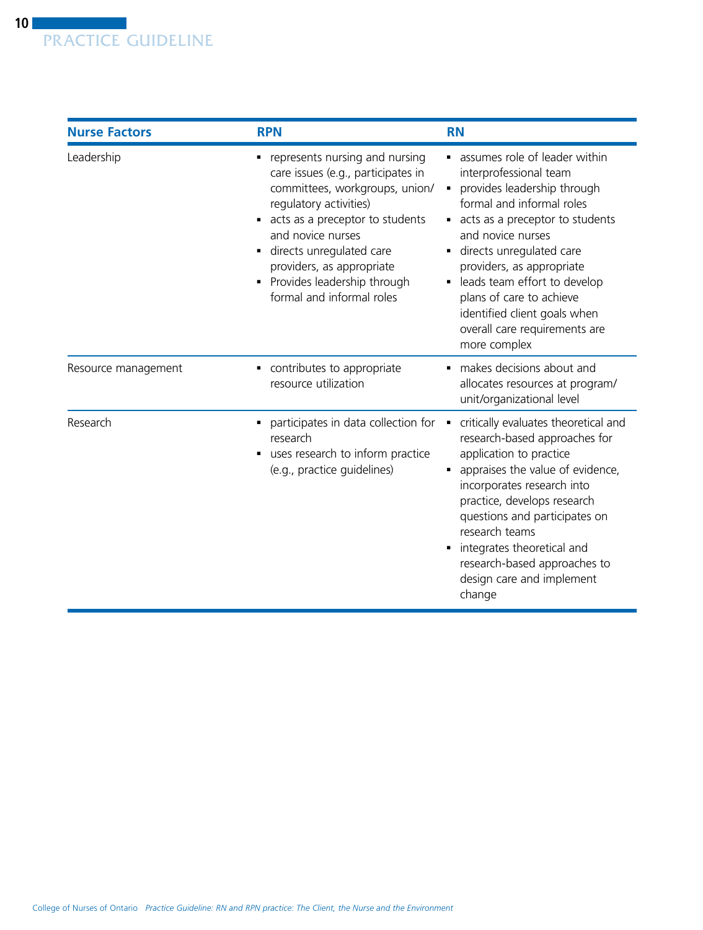| <b>Nurse Factors</b> | <b>RPN</b>                                                                                                                                                                                                                                                                                                    | <b>RN</b>                                                                                                                                                                                                                                                                                                                                                                                           |
|----------------------|---------------------------------------------------------------------------------------------------------------------------------------------------------------------------------------------------------------------------------------------------------------------------------------------------------------|-----------------------------------------------------------------------------------------------------------------------------------------------------------------------------------------------------------------------------------------------------------------------------------------------------------------------------------------------------------------------------------------------------|
| Leadership           | represents nursing and nursing<br>care issues (e.g., participates in<br>committees, workgroups, union/<br>regulatory activities)<br>acts as a preceptor to students<br>and novice nurses<br>directs unregulated care<br>providers, as appropriate<br>Provides leadership through<br>formal and informal roles | assumes role of leader within<br>interprofessional team<br>provides leadership through<br>$\blacksquare$<br>formal and informal roles<br>acts as a preceptor to students<br>and novice nurses<br>directs unregulated care<br>providers, as appropriate<br>leads team effort to develop<br>plans of care to achieve<br>identified client goals when<br>overall care requirements are<br>more complex |
| Resource management  | contributes to appropriate<br>٠<br>resource utilization                                                                                                                                                                                                                                                       | makes decisions about and<br>allocates resources at program/<br>unit/organizational level                                                                                                                                                                                                                                                                                                           |
| Research             | participates in data collection for<br>٠<br>research<br>uses research to inform practice<br>(e.g., practice guidelines)                                                                                                                                                                                       | critically evaluates theoretical and<br>$\blacksquare$<br>research-based approaches for<br>application to practice<br>appraises the value of evidence,<br>incorporates research into<br>practice, develops research<br>questions and participates on<br>research teams<br>integrates theoretical and<br>research-based approaches to<br>design care and implement<br>change                         |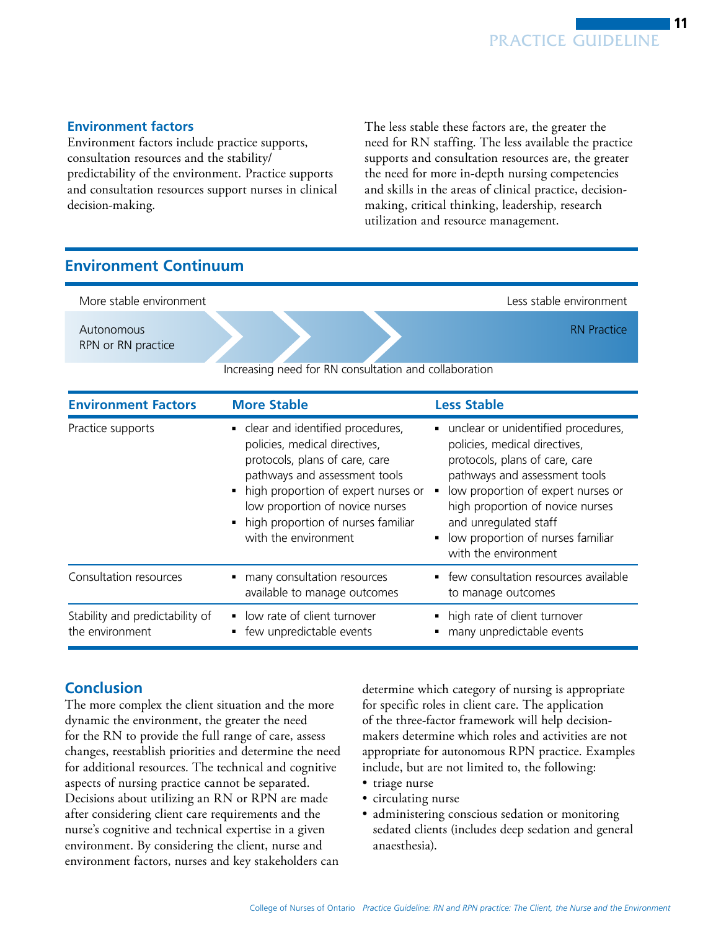#### **Environment factors**

Environment factors include practice supports, consultation resources and the stability/ predictability of the environment. Practice supports and consultation resources support nurses in clinical decision-making.

The less stable these factors are, the greater the need for RN staffing. The less available the practice supports and consultation resources are, the greater the need for more in-depth nursing competencies and skills in the areas of clinical practice, decisionmaking, critical thinking, leadership, research utilization and resource management.

| More stable environment                               |                                                                                                                                                                                                                                                                                | Less stable environment                                                                                                                                                                                                                                                                                                          |
|-------------------------------------------------------|--------------------------------------------------------------------------------------------------------------------------------------------------------------------------------------------------------------------------------------------------------------------------------|----------------------------------------------------------------------------------------------------------------------------------------------------------------------------------------------------------------------------------------------------------------------------------------------------------------------------------|
| Autonomous<br>RPN or RN practice                      |                                                                                                                                                                                                                                                                                | <b>RN</b> Practice                                                                                                                                                                                                                                                                                                               |
| Increasing need for RN consultation and collaboration |                                                                                                                                                                                                                                                                                |                                                                                                                                                                                                                                                                                                                                  |
| <b>Environment Factors</b>                            | <b>More Stable</b>                                                                                                                                                                                                                                                             | <b>Less Stable</b>                                                                                                                                                                                                                                                                                                               |
| Practice supports                                     | - clear and identified procedures,<br>policies, medical directives,<br>protocols, plans of care, care<br>pathways and assessment tools<br>high proportion of expert nurses or<br>low proportion of novice nurses<br>high proportion of nurses familiar<br>with the environment | • unclear or unidentified procedures,<br>policies, medical directives,<br>protocols, plans of care, care<br>pathways and assessment tools<br>low proportion of expert nurses or<br>$\blacksquare$<br>high proportion of novice nurses<br>and unregulated staff<br>low proportion of nurses familiar<br>٠<br>with the environment |
| Consultation resources                                | many consultation resources<br>available to manage outcomes                                                                                                                                                                                                                    | • few consultation resources available<br>to manage outcomes                                                                                                                                                                                                                                                                     |
| Stability and predictability of<br>the environment    | low rate of client turnover<br>few unpredictable events                                                                                                                                                                                                                        | high rate of client turnover<br>many unpredictable events                                                                                                                                                                                                                                                                        |

# **Environment Continuum**

# **Conclusion**

The more complex the client situation and the more dynamic the environment, the greater the need for the RN to provide the full range of care, assess changes, reestablish priorities and determine the need for additional resources. The technical and cognitive aspects of nursing practice cannot be separated. Decisions about utilizing an RN or RPN are made after considering client care requirements and the nurse's cognitive and technical expertise in a given environment. By considering the client, nurse and environment factors, nurses and key stakeholders can

determine which category of nursing is appropriate for specific roles in client care. The application of the three-factor framework will help decisionmakers determine which roles and activities are not appropriate for autonomous RPN practice. Examples include, but are not limited to, the following:

- triage nurse
- circulating nurse
- administering conscious sedation or monitoring sedated clients (includes deep sedation and general anaesthesia).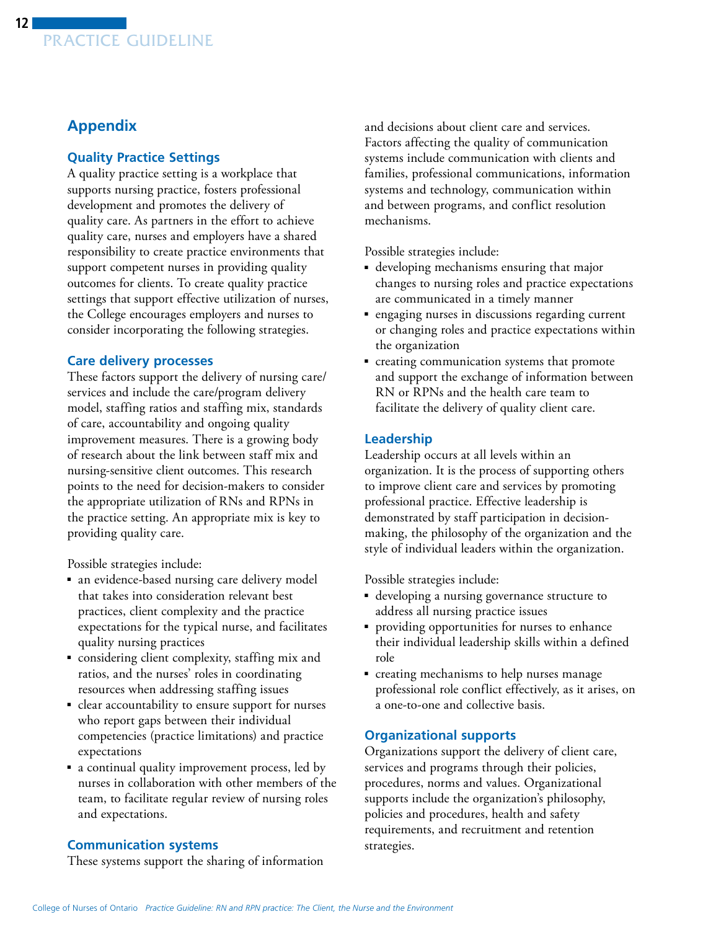# **Appendix**

#### **Quality Practice Settings**

A quality practice setting is a workplace that supports nursing practice, fosters professional development and promotes the delivery of quality care. As partners in the effort to achieve quality care, nurses and employers have a shared responsibility to create practice environments that support competent nurses in providing quality outcomes for clients. To create quality practice settings that support effective utilization of nurses, the College encourages employers and nurses to consider incorporating the following strategies.

#### **Care delivery processes**

These factors support the delivery of nursing care/ services and include the care/program delivery model, staffing ratios and staffing mix, standards of care, accountability and ongoing quality improvement measures. There is a growing body of research about the link between staff mix and nursing-sensitive client outcomes. This research points to the need for decision-makers to consider the appropriate utilization of RNs and RPNs in the practice setting. An appropriate mix is key to providing quality care.

Possible strategies include:

- an evidence-based nursing care delivery model that takes into consideration relevant best practices, client complexity and the practice expectations for the typical nurse, and facilitates quality nursing practices
- ■ considering client complexity, staffing mix and ratios, and the nurses' roles in coordinating resources when addressing staffing issues
- clear accountability to ensure support for nurses who report gaps between their individual competencies (practice limitations) and practice expectations
- a continual quality improvement process, led by nurses in collaboration with other members of the team, to facilitate regular review of nursing roles and expectations.

#### **Communication systems**

These systems support the sharing of information

and decisions about client care and services. Factors affecting the quality of communication systems include communication with clients and families, professional communications, information systems and technology, communication within and between programs, and conflict resolution mechanisms.

Possible strategies include:

- developing mechanisms ensuring that major changes to nursing roles and practice expectations are communicated in a timely manner
- engaging nurses in discussions regarding current or changing roles and practice expectations within the organization
- creating communication systems that promote and support the exchange of information between RN or RPNs and the health care team to facilitate the delivery of quality client care.

#### **Leadership**

Leadership occurs at all levels within an organization. It is the process of supporting others to improve client care and services by promoting professional practice. Effective leadership is demonstrated by staff participation in decisionmaking, the philosophy of the organization and the style of individual leaders within the organization.

Possible strategies include:

- ■ developing a nursing governance structure to address all nursing practice issues
- ■ providing opportunities for nurses to enhance their individual leadership skills within a defined role
- creating mechanisms to help nurses manage professional role conflict effectively, as it arises, on a one-to-one and collective basis.

#### **Organizational supports**

Organizations support the delivery of client care, services and programs through their policies, procedures, norms and values. Organizational supports include the organization's philosophy, policies and procedures, health and safety requirements, and recruitment and retention strategies.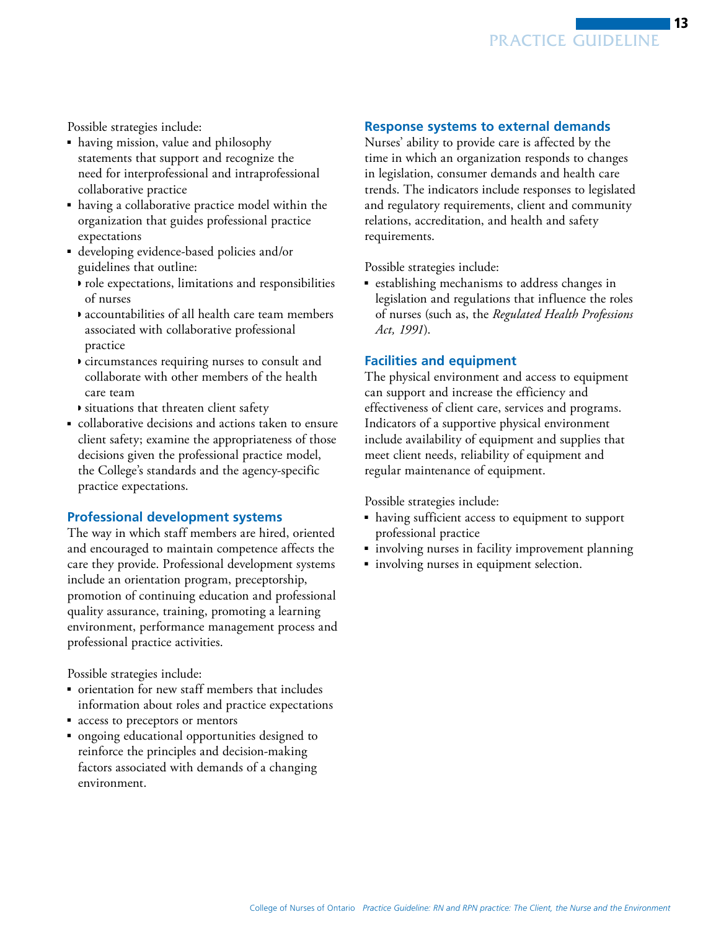Possible strategies include:

- having mission, value and philosophy statements that support and recognize the need for interprofessional and intraprofessional collaborative practice
- having a collaborative practice model within the organization that guides professional practice expectations
- developing evidence-based policies and/or guidelines that outline:
	- ◗ role expectations, limitations and responsibilities of nurses
	- ◗ accountabilities of all health care team members associated with collaborative professional practice
	- ◗ circumstances requiring nurses to consult and collaborate with other members of the health care team
	- ◗ situations that threaten client safety
- collaborative decisions and actions taken to ensure client safety; examine the appropriateness of those decisions given the professional practice model, the College's standards and the agency-specific practice expectations.

# **Professional development systems**

The way in which staff members are hired, oriented and encouraged to maintain competence affects the care they provide. Professional development systems include an orientation program, preceptorship, promotion of continuing education and professional quality assurance, training, promoting a learning environment, performance management process and professional practice activities.

Possible strategies include:

- orientation for new staff members that includes information about roles and practice expectations
- access to preceptors or mentors
- ■ ongoing educational opportunities designed to reinforce the principles and decision-making factors associated with demands of a changing environment.

# **Response systems to external demands**

Nurses' ability to provide care is affected by the time in which an organization responds to changes in legislation, consumer demands and health care trends. The indicators include responses to legislated and regulatory requirements, client and community relations, accreditation, and health and safety requirements.

Possible strategies include:

■ establishing mechanisms to address changes in legislation and regulations that influence the roles of nurses (such as, the *Regulated Health Professions Act, 1991*).

# **Facilities and equipment**

The physical environment and access to equipment can support and increase the efficiency and effectiveness of client care, services and programs. Indicators of a supportive physical environment include availability of equipment and supplies that meet client needs, reliability of equipment and regular maintenance of equipment.

Possible strategies include:

- having sufficient access to equipment to support professional practice
- ■ involving nurses in facility improvement planning
- ■ involving nurses in equipment selection.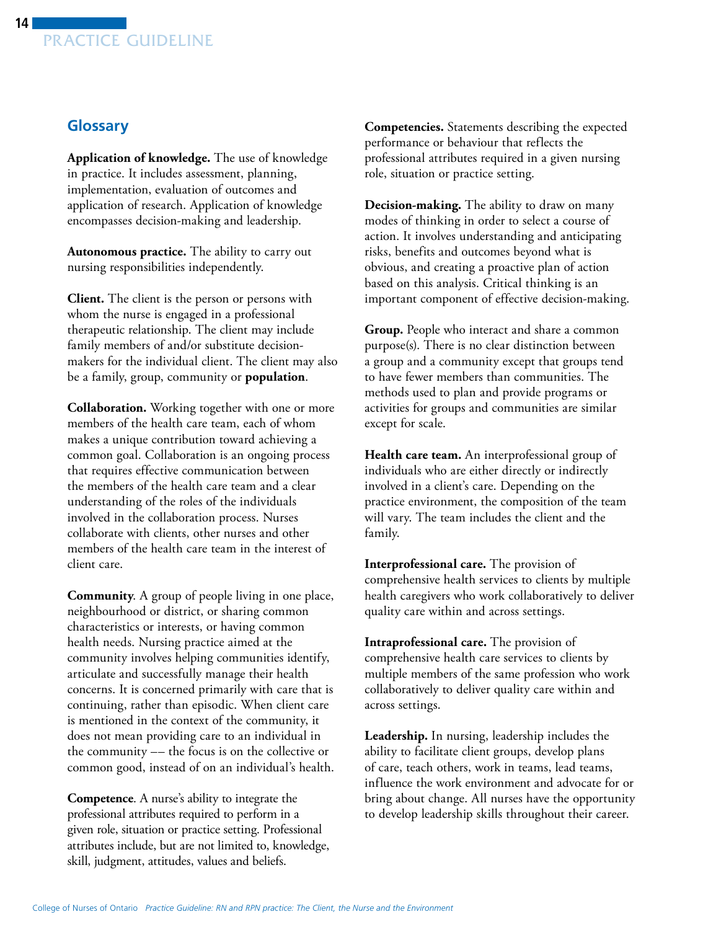### **Glossary**

**Application of knowledge.** The use of knowledge in practice. It includes assessment, planning, implementation, evaluation of outcomes and application of research. Application of knowledge encompasses decision-making and leadership.

**Autonomous practice.** The ability to carry out nursing responsibilities independently.

**Client.** The client is the person or persons with whom the nurse is engaged in a professional therapeutic relationship. The client may include family members of and/or substitute decisionmakers for the individual client. The client may also be a family, group, community or **population**.

**Collaboration.** Working together with one or more members of the health care team, each of whom makes a unique contribution toward achieving a common goal. Collaboration is an ongoing process that requires effective communication between the members of the health care team and a clear understanding of the roles of the individuals involved in the collaboration process. Nurses collaborate with clients, other nurses and other members of the health care team in the interest of client care.

**Community**. A group of people living in one place, neighbourhood or district, or sharing common characteristics or interests, or having common health needs. Nursing practice aimed at the community involves helping communities identify, articulate and successfully manage their health concerns. It is concerned primarily with care that is continuing, rather than episodic. When client care is mentioned in the context of the community, it does not mean providing care to an individual in the community –– the focus is on the collective or common good, instead of on an individual's health.

**Competence**. A nurse's ability to integrate the professional attributes required to perform in a given role, situation or practice setting. Professional attributes include, but are not limited to, knowledge, skill, judgment, attitudes, values and beliefs.

**Competencies.** Statements describing the expected performance or behaviour that reflects the professional attributes required in a given nursing role, situation or practice setting.

**Decision-making.** The ability to draw on many modes of thinking in order to select a course of action. It involves understanding and anticipating risks, benefits and outcomes beyond what is obvious, and creating a proactive plan of action based on this analysis. Critical thinking is an important component of effective decision-making.

**Group.** People who interact and share a common purpose(s). There is no clear distinction between a group and a community except that groups tend to have fewer members than communities. The methods used to plan and provide programs or activities for groups and communities are similar except for scale.

**Health care team.** An interprofessional group of individuals who are either directly or indirectly involved in a client's care. Depending on the practice environment, the composition of the team will vary. The team includes the client and the family.

**Interprofessional care.** The provision of comprehensive health services to clients by multiple health caregivers who work collaboratively to deliver quality care within and across settings.

**Intraprofessional care.** The provision of comprehensive health care services to clients by multiple members of the same profession who work collaboratively to deliver quality care within and across settings.

**Leadership.** In nursing, leadership includes the ability to facilitate client groups, develop plans of care, teach others, work in teams, lead teams, influence the work environment and advocate for or bring about change. All nurses have the opportunity to develop leadership skills throughout their career.

**14**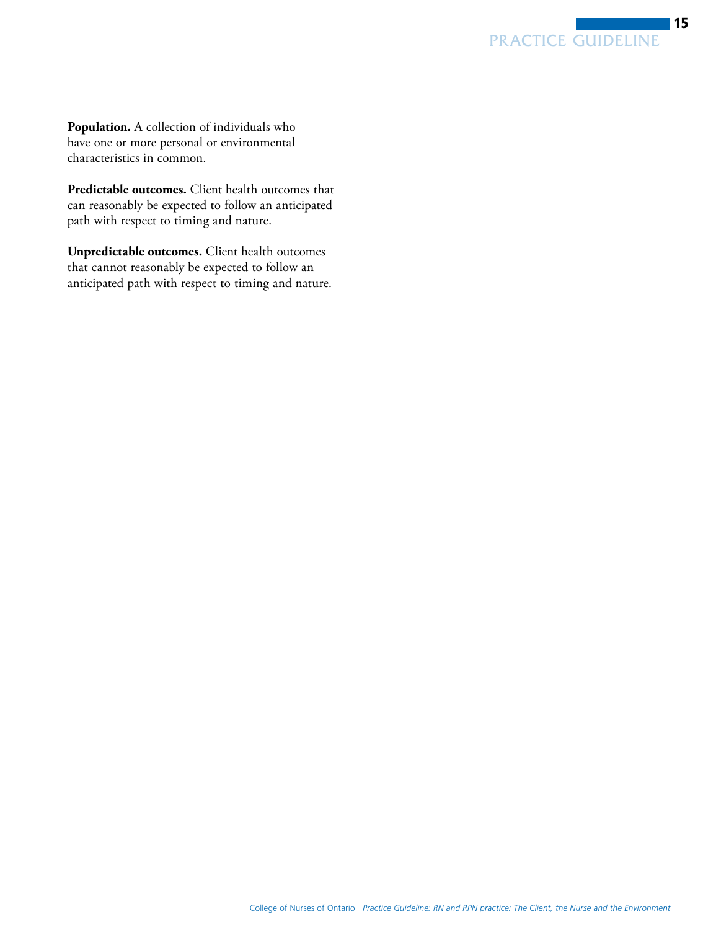

**Population.** A collection of individuals who have one or more personal or environmental characteristics in common.

**Predictable outcomes.** Client health outcomes that can reasonably be expected to follow an anticipated path with respect to timing and nature.

**Unpredictable outcomes.** Client health outcomes that cannot reasonably be expected to follow an anticipated path with respect to timing and nature.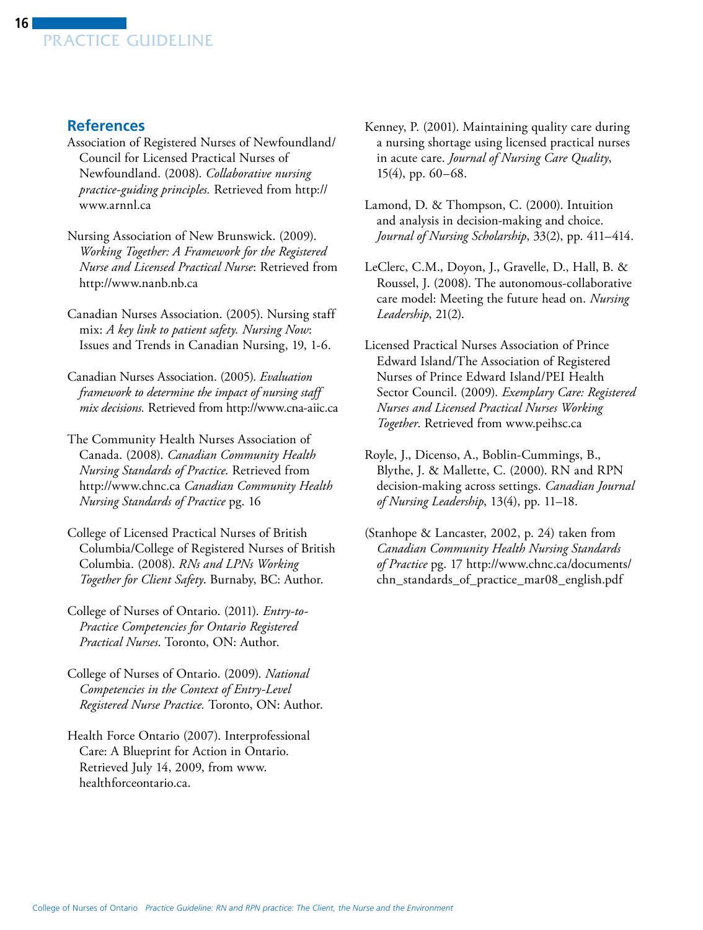# **References**

- Association of Registered Nurses of Newfoundland/ Council for Licensed Practical Nurses of Newfoundland. (2008). *Collaborative nursing practice-guiding principles.* Retrieved from http:// www.arnnl.ca
- Nursing Association of New Brunswick. (2009). *Working Together: A Framework for the Registered Nurse and Licensed Practical Nurse*: Retrieved from http://www.nanb.nb.ca
- Canadian Nurses Association. (2005). Nursing staff mix: *A key link to patient safety. Nursing Now*: Issues and Trends in Canadian Nursing, 19, 1-6.
- Canadian Nurses Association. (2005). *Evaluation framework to determine the impact of nursing staff mix decisions.* Retrieved from http://www.cna-aiic.ca
- The Community Health Nurses Association of Canada. (2008). *Canadian Community Health Nursing Standards of Practice*. Retrieved from http://www.chnc.ca *Canadian Community Health Nursing Standards of Practice* pg. 16
- College of Licensed Practical Nurses of British Columbia/College of Registered Nurses of British Columbia. (2008). *RNs and LPNs Working Together for Client Safety*. Burnaby, BC: Author.
- College of Nurses of Ontario. (2011). *Entry-to-Practice Competencies for Ontario Registered Practical Nurses*. Toronto, ON: Author.
- College of Nurses of Ontario. (2009). *National Competencies in the Context of Entry-Level Registered Nurse Practice.* Toronto, ON: Author.
- Health Force Ontario (2007). Interprofessional Care: A Blueprint for Action in Ontario. Retrieved July 14, 2009, from www. healthforceontario.ca.
- Kenney, P. (2001). Maintaining quality care during a nursing shortage using licensed practical nurses in acute care. *Journal of Nursing Care Quality*, 15(4), pp. 60–68.
- Lamond, D. & Thompson, C. (2000). Intuition and analysis in decision-making and choice. *Journal of Nursing Scholarship*, 33(2), pp. 411–414.
- LeClerc, C.M., Doyon, J., Gravelle, D., Hall, B. & Roussel, J. (2008). The autonomous-collaborative care model: Meeting the future head on. *Nursing Leadership*, 21(2).
- Licensed Practical Nurses Association of Prince Edward Island/The Association of Registered Nurses of Prince Edward Island/PEI Health Sector Council. (2009). *Exemplary Care: Registered Nurses and Licensed Practical Nurses Working Together*. Retrieved from www.peihsc.ca
- Royle, J., Dicenso, A., Boblin-Cummings, B., Blythe, J. & Mallette, C. (2000). RN and RPN decision-making across settings. *Canadian Journal of Nursing Leadership*, 13(4), pp. 11–18.
- (Stanhope & Lancaster, 2002, p. 24) taken from *Canadian Community Health Nursing Standards of Practice* pg. 17 http://www.chnc.ca/documents/ chn\_standards\_of\_practice\_mar08\_english.pdf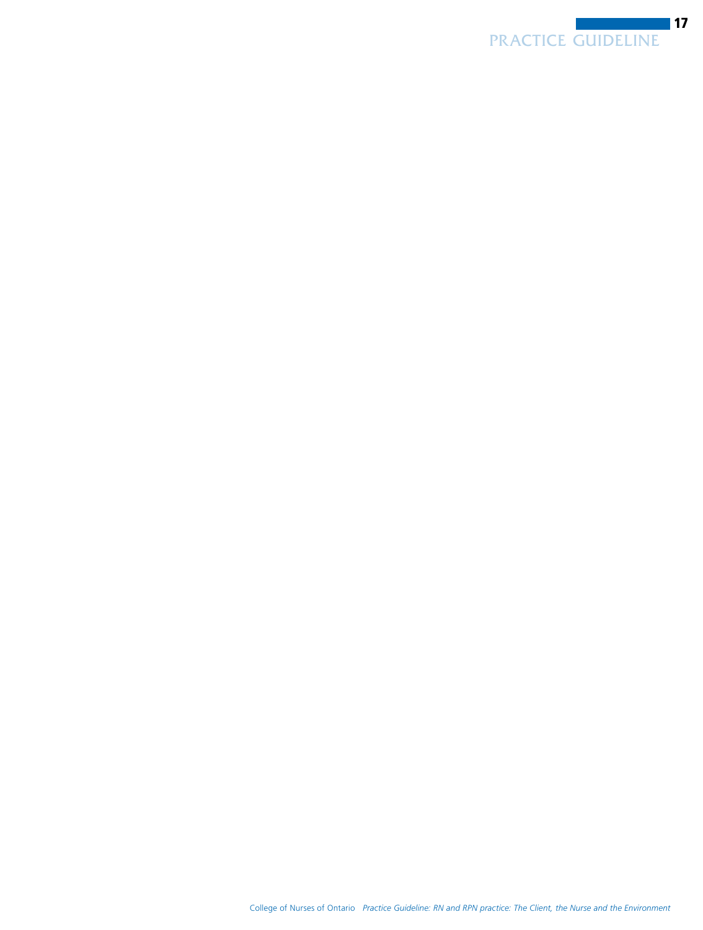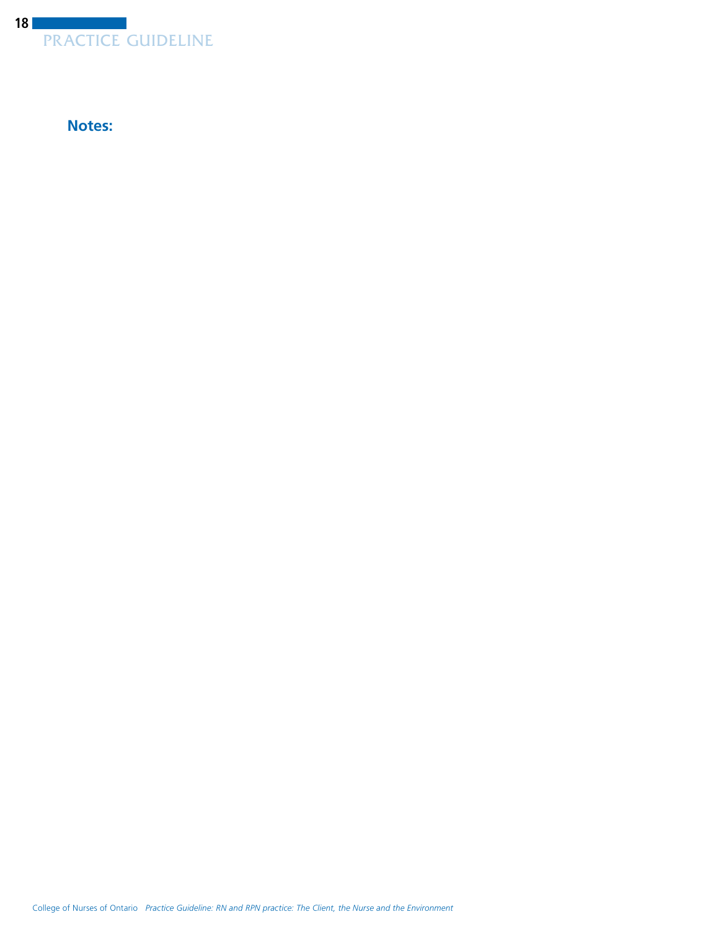PRACTICE GUIDELINE **18**

**Notes:**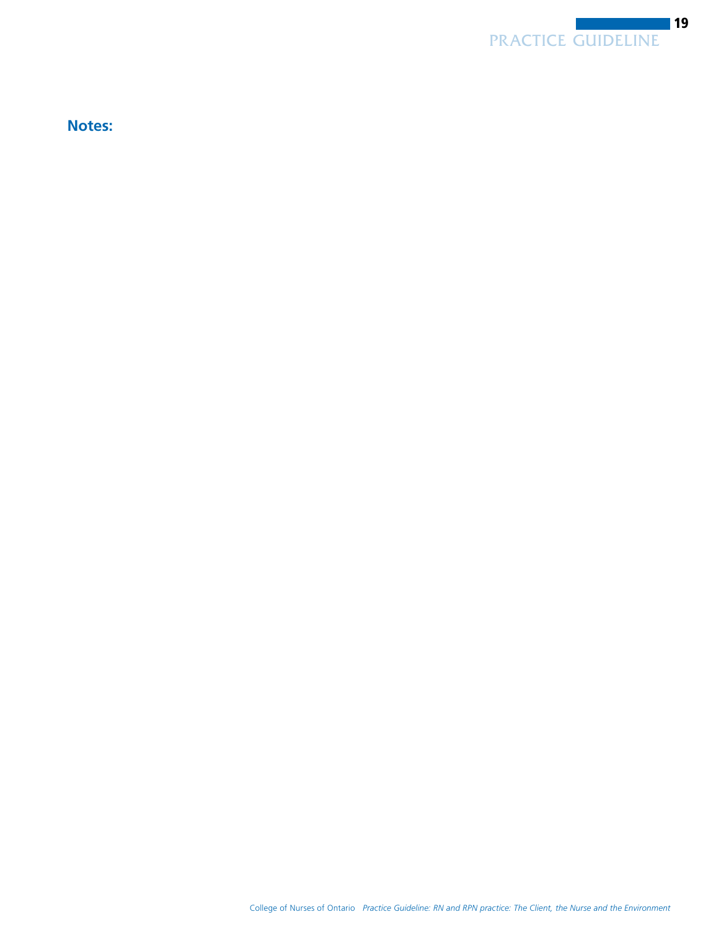

**Notes:**